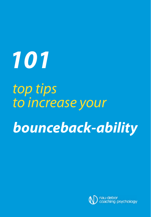**101**

to increase your **bounceback-ability** top tips

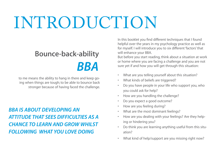## INTRODUCTION

## **Bounce-back-ability** *BBA*

to me means the ability to hang in there and keep going when things are tough; to be able to bounce back stronger because of having faced the challenge.

*BBA is ABout developing An Attitude thAt sees difficulties As A chAnce to leArn And grow whilst following whAt you love doing*

In this booklet you fnd different techniques that I found helpful over the years in my psychology practice as well as for myself. I will introduce you to six different 'factors' that will enhance your BBA.

But before you start reading, think about a situation at work or home where you are facing a challenge and you are not sure yet if and how you will get through this situation:

- What are you telling yourself about this situation?
- What kinds of beliefs are triggered?
- Do you have people in your life who support you, who you could ask for help?
- How are you handling the challenge?
- Do you expect a good outcome?
- How are you feeling during?
- What are the most dominant feelings?
- How are you dealing with your feelings? Are they helping or hindering you?
- Do think you are learning anything useful from this situation?
- What kind of help/support are you missing right now?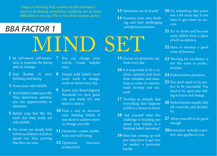'I keep on thinking that I cannot do this anymore. I seem to be lacking something. I suddenly see so many diffculties in my way. This is not what I signed up for.'.

### *BBA fActor 1*

- **1** Be self-aware: self-awareness is essential for being able to change.
- **2** Stay flexible in your **8** Deeply held beliefs need thinking and being.
- **3** Know your own beliefs.
- 4 Your beliefs create your life: They determine whether you see opportunities or obstacles.
- **5** Beliefs may feel like the truth but they really are only beliefs.
- **6** We create our deeply held beliefs as children and then spend our lives proving that they are true.

**7** You can change your beliefs: Create helpful ones.

MIND SET

- some work to change, work on them every day.
- **9** Know your deservingness threshold (i.e. how good can you stand it?) and learn to raise it.
- **10** Find a way to discover your limiting beliefs if you want to achieve more or change your life.
- **11** Optimism creates health, hope and well-being.
- **12** Optimism increases productivity.
- **13** Optimism can be learnt!
- **14** Examine your own thinking and start challenging unhelpful pessimism.

- **15** Choose an optimistic outlook every day.
- **16** It is important to be a realistic optimist and learn from mistakes and situations in order to continuously develop and succeed.
- **17** Develop an attitude that everything that happens in life is a chance to learn.
- **18** Ask yourself what this challenge is teaching you about your beliefs. Is a limiting belief operating?
- **19** Have fun coming up with new ideas how to get over (or under) a particular hurdle.
- **20** Do something that scares you a bit every day if you want to get closer to success.
- **21** Try to thrive and become more skilful from a place of self-acceptance.
- **22** Have or develop a good sense of humour.
- **23** Thriving for excellence is not the same as perfectionism.
- **24** Perfectionism paralyses.
- **25** You don't need to be perfect to be successful. You need to be open and willing to learn and change.
- **26** Perfectionism usually kills off creativity and flexibility.
- **27** Allow yourself to be good enough.
- **28**Remember 'nobody is perfect' also applies to you.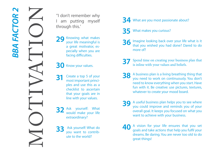The Motion of the Wales of the Wales of the Wales of the Wales of the Wales of the Wales of the Wales of the Wales of the Wales of the Wales of the Wales of the Wales and use this as a checklist to ascertain that your goal

''I don't remember why I am putting myself through this.'

29 Knowing what makes vour life meaningful is a great motivator, es pecially when you are facing diffculties.

#### **30** Know your values.

**31** Create a top 5 of your most important princi ples and use this as a checklist to ascertain that your goals are in line with your values.

**32** Ask yourself: What would make your life extraordinary?

**33** Ask yourself: What do you want to contrib ute to the world?

#### **34** What are you most passionate about?

- **35** What makes you curious?
- **36** Imagine looking back over your life what is it that you wished you had done? Dared to do more of?
	- **37** Spend time on creating your business plan that is inline with your values and beliefs.
- **38** A business plan is a living breathing thing that you need to work on continuously. You don't need to know everything when you start. Have fun with it. Be creative: use pictures, textures, whatever to create your mood board.
- **39** A useful business plan helps you to see where you could improve and reminds you of your overall goal. It keeps you focused on what you want to achieve with your business.
- **40** A vision for your life ensures that you set goals and take actions that help you fulfl your dreams. Be daring. You are never too old to do great things!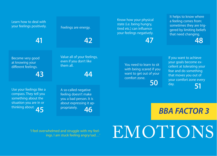Learn how to deal with your feelings positively.

**41**

Feelings are energy.

**42**

Know how your physical state (i.e. being hungry, tired etc.) can infuence your feelings negatively.

**47**

It helps to know where a feeling comes from: sometimes they are triggered by limiting beliefs that need changing.

**48**

Become very good at knowing your different feelings.

**43**

Value all of your feelings, even if you don't like them all.

**44**

**45** thinking about. **46** Use your feelings like a compass. They tell you something about the situation you are in or

A so-called negative feeling doesn't make you a bad person. It is about expressing it appropriately.

**50** You need to learn to sit with being scared if you want to get out of your comfort zone.

**51** If you want to achieve your goals become excellent at tolerating your fear and do something that moves you out of your comfort zone every day.

*BBA fActor 3*

'I feel overwhelmed and struggle with my feelings. I am stuck feeling angry/sad…'

# EMOTIONS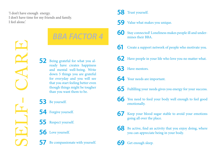'I don't have enough energy. I don't have time for my friends and family. I feel alone.'

SELF- CARE

### *BBA fActor 4*

**52** Being grateful for what you already have creates happiness and mental well-being. Write down 5 things you are grateful for everyday and you will see that you start feeling better even though things might be tougher than you want them to be.

**53** Be yourself.

**54** Forgive yourself.

- **55** Respect yourself.
- **56** Love yourself.

**57** Be compassionate with yourself.

#### **58** Trust yourself.

- **59** Value what makes you unique.
- **60** Stay connected! Loneliness makes people ill and undermines their BBA.
- **61** Create a support network of people who motivate you.
- **62** Have people in your life who love you no matter what.
- **63** Have mentors.
- **64** Your needs are important.
- **65** Fulflling your needs gives you energy for your success.
- **66** You need to feed your body well enough to feel good emotionally.
- **67** Keep your blood sugar stable to avoid your emotions going all over the place.
- **68** Be active, fnd an activity that you enjoy doing, where you can appreciate being in your body.
- Get enough sleep.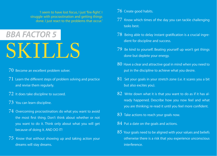'I seem to have lost focus, I just 'fre-fght'. I struggle with procrastination and getting things done. I just react to the problems that occur.'

## SKILLS *BBA fActor 5*

- 70 Become an excellent problem solver.
- $71$  Learn the different steps of problem solving and practice and revise them regularly.
- 72 It does take discipline to succeed.
- 73 You can learn discipline.
- 74 Overcoming procrastination: do what you want to avoid the most frst thing. Don't think about whether or not you want to do it. Think only about what you will get because of doing it. AND DO IT!
- 75 Know that without showing up and taking action your dreams will stay dreams.
- 76 Create good habits.
- 77 Know which times of the day you can tackle challenging tasks best.
- 78 Being able to delay instant gratifcation is a crucial ingredient for discipline and success.
- 79 Be kind to yourself. Beating yourself up won't get things done but deplete your energy.
- 80 Have a clear and attractive goal in mind when you need to put in the discipline to achieve what you desire.
- $81$  Set your goals in your stretch zone (i.e. it scares you a bit but also excites you).
- 82 Write down what it is that you want to do as if it has already happened. Describe how you now feel and what you are thinking; re-read it until you feel more confdent.
- 83 Take actions to reach your goals now.
- 84 Put a date on the goals and actions.
- 85 Your goals need to be aligned with your values and beliefs otherwise there is a risk that you experience unconscious interference.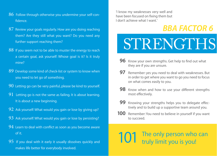- 86 Follow through otherwise you undermine your self-confdence.
- 87 Review your goals regularly. How are you doing reaching them? Are they still what you want? Do you need any further support reaching them?
- 88 If you seem not to be able to muster the energy to reach a certain goal, ask yourself: Whose goal is it? Is it truly mine?
- 89 Develop some kind of check-list or system to know when you need to let go of something.
- 90 Letting go can be very painful, please be kind to yourself.
- 91 Letting go is not the same as failing. It is about learning. It is about a new beginning.
- 92 Ask yourself: What would you gain or lose by giving up?
- 93 Ask yourself: What would you gain or lose by persisting?
- 94 Learn to deal with conflict as soon as you become aware of it.
- 95 If you deal with it early it usually dissolves quickly and makes life better for everybody involved.

'I know my weaknesses very well and have been focused on fxing them but I don't achieve what I want.'

### *BBA fActor 6*

STRENGTHS

- **96** Know your own strengths. Get help to find out what they are if you are unsure.
- **97** Remember: yes you need to deal with weaknesses. But in order to get where you want to go you need to focus on what comes easily to you.
- **98** Know when and how to use your different strengths most effectively.
- **99** Knowing your strengths helps you to delegate effectively and to build up a supportive team around you.
- **100** Remember: You need to believe in yourself if you want to succeed.

## **101** The only person who can truly limit you is you!